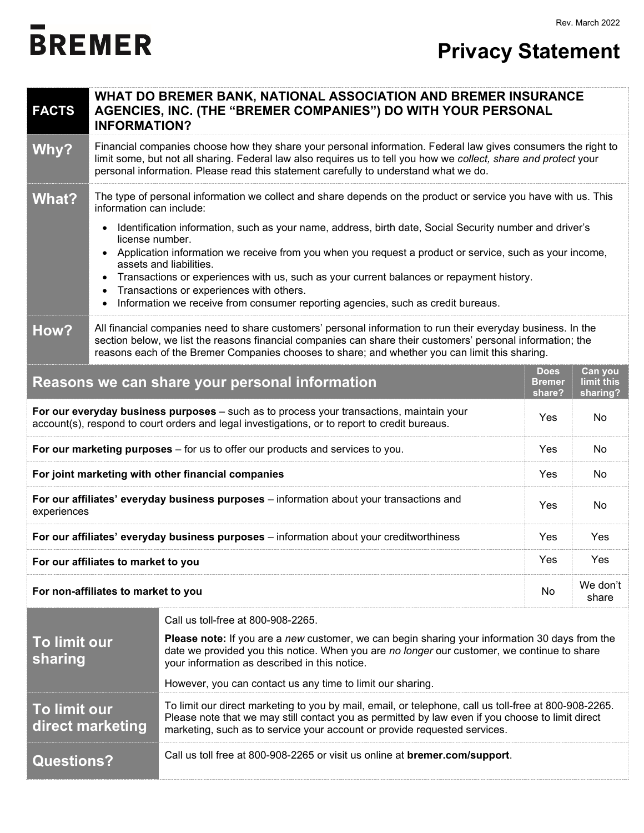## Rev. March 2022

## **BREMER**

| <b>FACTS</b>                                                                                                                                                                                     | WHAT DO BREMER BANK, NATIONAL ASSOCIATION AND BREMER INSURANCE<br>AGENCIES, INC. (THE "BREMER COMPANIES") DO WITH YOUR PERSONAL<br><b>INFORMATION?</b>                                                                                                                                                                                                                                                                                                                                                                                                                                                                                                               |                                                                                                                                                                                                                                                       |     |                   |  |
|--------------------------------------------------------------------------------------------------------------------------------------------------------------------------------------------------|----------------------------------------------------------------------------------------------------------------------------------------------------------------------------------------------------------------------------------------------------------------------------------------------------------------------------------------------------------------------------------------------------------------------------------------------------------------------------------------------------------------------------------------------------------------------------------------------------------------------------------------------------------------------|-------------------------------------------------------------------------------------------------------------------------------------------------------------------------------------------------------------------------------------------------------|-----|-------------------|--|
| Why?                                                                                                                                                                                             | Financial companies choose how they share your personal information. Federal law gives consumers the right to<br>limit some, but not all sharing. Federal law also requires us to tell you how we collect, share and protect your<br>personal information. Please read this statement carefully to understand what we do.                                                                                                                                                                                                                                                                                                                                            |                                                                                                                                                                                                                                                       |     |                   |  |
| <b>What?</b>                                                                                                                                                                                     | The type of personal information we collect and share depends on the product or service you have with us. This<br>information can include:<br>Identification information, such as your name, address, birth date, Social Security number and driver's<br>license number.<br>Application information we receive from you when you request a product or service, such as your income,<br>assets and liabilities.<br>Transactions or experiences with us, such as your current balances or repayment history.<br>$\bullet$<br>Transactions or experiences with others.<br>Information we receive from consumer reporting agencies, such as credit bureaus.<br>$\bullet$ |                                                                                                                                                                                                                                                       |     |                   |  |
| How?                                                                                                                                                                                             | All financial companies need to share customers' personal information to run their everyday business. In the<br>section below, we list the reasons financial companies can share their customers' personal information; the<br>reasons each of the Bremer Companies chooses to share; and whether you can limit this sharing.                                                                                                                                                                                                                                                                                                                                        |                                                                                                                                                                                                                                                       |     |                   |  |
| Can you<br><b>Does</b><br>Reasons we can share your personal information<br><b>Bremer</b><br>limit this<br>share?<br>sharing?                                                                    |                                                                                                                                                                                                                                                                                                                                                                                                                                                                                                                                                                                                                                                                      |                                                                                                                                                                                                                                                       |     |                   |  |
| For our everyday business purposes - such as to process your transactions, maintain your<br>Yes<br>account(s), respond to court orders and legal investigations, or to report to credit bureaus. |                                                                                                                                                                                                                                                                                                                                                                                                                                                                                                                                                                                                                                                                      |                                                                                                                                                                                                                                                       |     |                   |  |
| For our marketing purposes - for us to offer our products and services to you.<br>Yes                                                                                                            |                                                                                                                                                                                                                                                                                                                                                                                                                                                                                                                                                                                                                                                                      |                                                                                                                                                                                                                                                       |     |                   |  |
| For joint marketing with other financial companies<br>Yes                                                                                                                                        |                                                                                                                                                                                                                                                                                                                                                                                                                                                                                                                                                                                                                                                                      |                                                                                                                                                                                                                                                       |     |                   |  |
| For our affiliates' everyday business purposes - information about your transactions and<br>experiences                                                                                          |                                                                                                                                                                                                                                                                                                                                                                                                                                                                                                                                                                                                                                                                      |                                                                                                                                                                                                                                                       | Yes | No                |  |
| For our affiliates' everyday business purposes - information about your creditworthiness                                                                                                         |                                                                                                                                                                                                                                                                                                                                                                                                                                                                                                                                                                                                                                                                      |                                                                                                                                                                                                                                                       | Yes | Yes               |  |
| For our affiliates to market to you                                                                                                                                                              |                                                                                                                                                                                                                                                                                                                                                                                                                                                                                                                                                                                                                                                                      |                                                                                                                                                                                                                                                       | Yes | Yes               |  |
| For non-affiliates to market to you                                                                                                                                                              |                                                                                                                                                                                                                                                                                                                                                                                                                                                                                                                                                                                                                                                                      |                                                                                                                                                                                                                                                       | No  | We don't<br>share |  |
|                                                                                                                                                                                                  |                                                                                                                                                                                                                                                                                                                                                                                                                                                                                                                                                                                                                                                                      | Call us toll-free at 800-908-2265.                                                                                                                                                                                                                    |     |                   |  |
| <b>To limit our</b><br>sharing                                                                                                                                                                   |                                                                                                                                                                                                                                                                                                                                                                                                                                                                                                                                                                                                                                                                      | <b>Please note:</b> If you are a new customer, we can begin sharing your information 30 days from the<br>date we provided you this notice. When you are no longer our customer, we continue to share<br>your information as described in this notice. |     |                   |  |
|                                                                                                                                                                                                  |                                                                                                                                                                                                                                                                                                                                                                                                                                                                                                                                                                                                                                                                      | However, you can contact us any time to limit our sharing.                                                                                                                                                                                            |     |                   |  |
| <b>To limit our</b>                                                                                                                                                                              | To limit our direct marketing to you by mail, email, or telephone, call us toll-free at 800-908-2265.<br>Please note that we may still contact you as permitted by law even if you choose to limit direct<br>direct marketing<br>marketing, such as to service your account or provide requested services.                                                                                                                                                                                                                                                                                                                                                           |                                                                                                                                                                                                                                                       |     |                   |  |
| <b>Questions?</b>                                                                                                                                                                                |                                                                                                                                                                                                                                                                                                                                                                                                                                                                                                                                                                                                                                                                      | Call us toll free at 800-908-2265 or visit us online at bremer.com/support.                                                                                                                                                                           |     |                   |  |